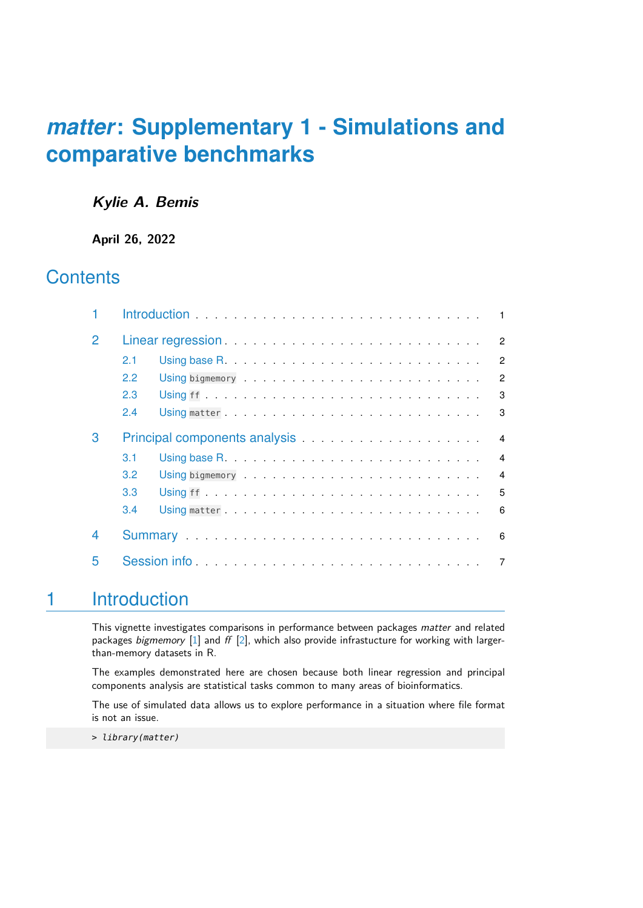## **Kylie A. Bemis**

**April 26, 2022**

## **Contents**

|   |     |                                                                                                                                                                                                                               | $\blacksquare$ |
|---|-----|-------------------------------------------------------------------------------------------------------------------------------------------------------------------------------------------------------------------------------|----------------|
| 2 |     |                                                                                                                                                                                                                               | $\overline{2}$ |
|   | 2.1 |                                                                                                                                                                                                                               | $\overline{2}$ |
|   | 2.2 |                                                                                                                                                                                                                               | $\overline{2}$ |
|   | 2.3 |                                                                                                                                                                                                                               | 3              |
|   | 2.4 |                                                                                                                                                                                                                               | 3              |
| З |     |                                                                                                                                                                                                                               | $\overline{4}$ |
|   | 3.1 |                                                                                                                                                                                                                               | $\overline{4}$ |
|   | 3.2 |                                                                                                                                                                                                                               | $\overline{4}$ |
|   | 3.3 |                                                                                                                                                                                                                               | 5              |
|   | 3.4 |                                                                                                                                                                                                                               | 6              |
| 4 |     | Summary entertainment and the substantial contract of the substantial contract of the substantial contract of the substantial contract of the substantial contract of the substantial contract of the substantial contract of | 6              |
| 5 |     | Session info                                                                                                                                                                                                                  | 7              |

# <span id="page-0-0"></span>1 Introduction

This vignette investigates comparisons in performance between packages matter and related packages bigmemory  $[1]$  and ff  $[2]$ , which also provide infrastucture for working with largerthan-memory datasets in R.

The examples demonstrated here are chosen because both linear regression and principal components analysis are statistical tasks common to many areas of bioinformatics.

The use of simulated data allows us to explore performance in a situation where file format is not an issue.

<span id="page-0-1"></span>> library(matter)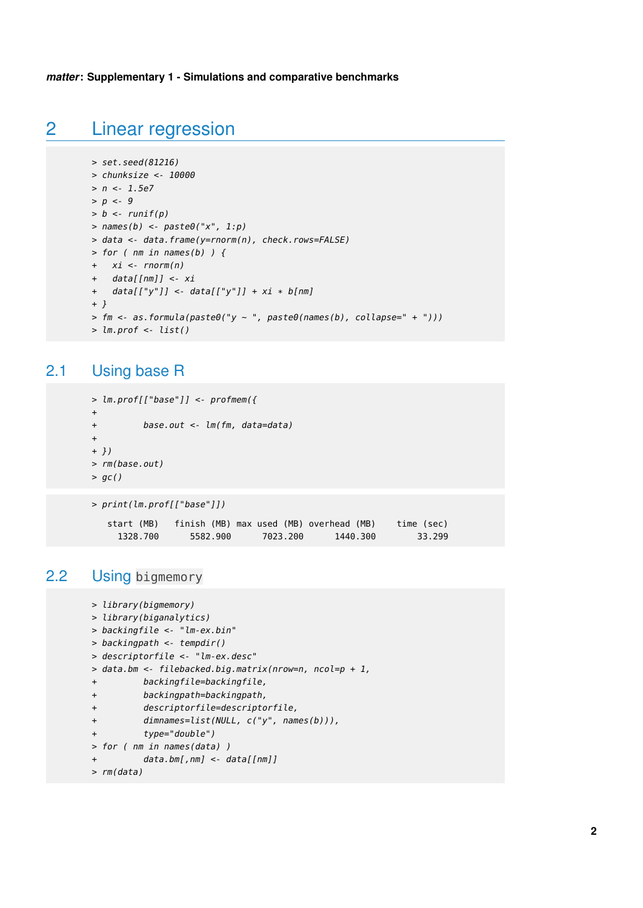# 2 Linear regression

```
> set.seed(81216)
> chunksize <- 10000
> n <- 1.5e7
> p < -9> b < -runif(p)
> names(b) <- paste\theta("x", 1:p)
> data <- data.frame(y=rnorm(n), check.rows=FALSE)
> for ( nm in names(b) ) {
+ xi < -rnorm(n)+ data[[nm]] <- xi
+ data[["y"]] <- data[["y"]] + xi * b[nm]
+ }
> fm \leq as. formula(paste\theta("y \sim ", paste\theta(names(b), collapse=' + ");> lm.prof \leq list()
```
## <span id="page-1-0"></span>2.1 Using base R

```
> lm.prof[["base"]] <- profmem({
+
+ base.out <- lm(fm, data=data)
+
+ })
> rm(base.out)
> gc()
```

```
> print(lm.prof[["base"]])
  start (MB) finish (MB) max used (MB) overhead (MB) time (sec)
    1328.700 5582.900 7023.200 1440.300 33.299
```
## 2.2 Using bigmemory

```
> library(bigmemory)
> library(biganalytics)
> backingfile <- "lm-ex.bin"
> backingpath <- tempdir()
> descriptorfile <- "lm-ex.desc"
> data.bm <- filebacked.big.matrix(nrow=n, ncol=p + 1,
+ backingfile=backingfile,
+ backingpath=backingpath,
+ descriptorfile=descriptorfile,
+ dimnames=list(NULL, c("y", names(b))),
+ type="double")
> for ( nm in names(data) )
+ data.bm[,nm] <- data[[nm]]
```

```
> rm(data)
```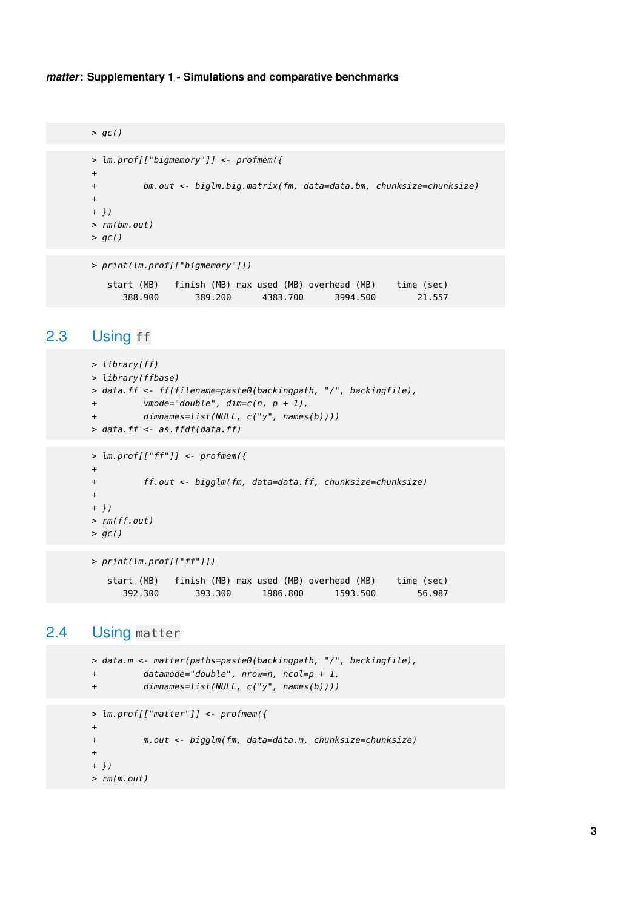```
> gc()
> lm.prof[["bigmemory"]] <- profmem({
+
+ bm.out <- biglm.big.matrix(fm, data=data.bm, chunksize=chunksize)
+
+ })
> rm(bm.out)
> gc()
> print(lm.prof[["bigmemory"]])
   start (MB) finish (MB) max used (MB) overhead (MB) time (sec)
```
<span id="page-2-0"></span>388.900 389.200 4383.700 3994.500 21.557

```
2.3 Using ff
```

```
> library(ff)
> library(ffbase)
> data.ff <- ff(filename=paste0(backingpath, "/", backingfile),
+ vmode="double", dim=c(n, p + 1),
+ dimnames=list(NULL, c("y", names(b))))
> data.ff <- as.ffdf(data.ff)
> lm.prof[["ff"]] <- profmem({
+
+ ff.out <- bigglm(fm, data=data.ff, chunksize=chunksize)
+
+ })
> rm(ff.out)
> gc()
```

```
> print(lm.prof[["ff"]])
  start (MB) finish (MB) max used (MB) overhead (MB) time (sec)
     392.300 393.300 1986.800 1593.500 56.987
```
## 2.4 Using matter

```
> data.m <- matter(paths=paste0(backingpath, "/", backingfile),
+ datamode="double", nrow=n, ncol=p + 1,
+ dimnames=list(NULL, c("y", names(b))))
> lm.prof[["matter"]] <- profmem({
+
+ m.out <- bigglm(fm, data=data.m, chunksize=chunksize)
+
+ })
> rm(m.out)
```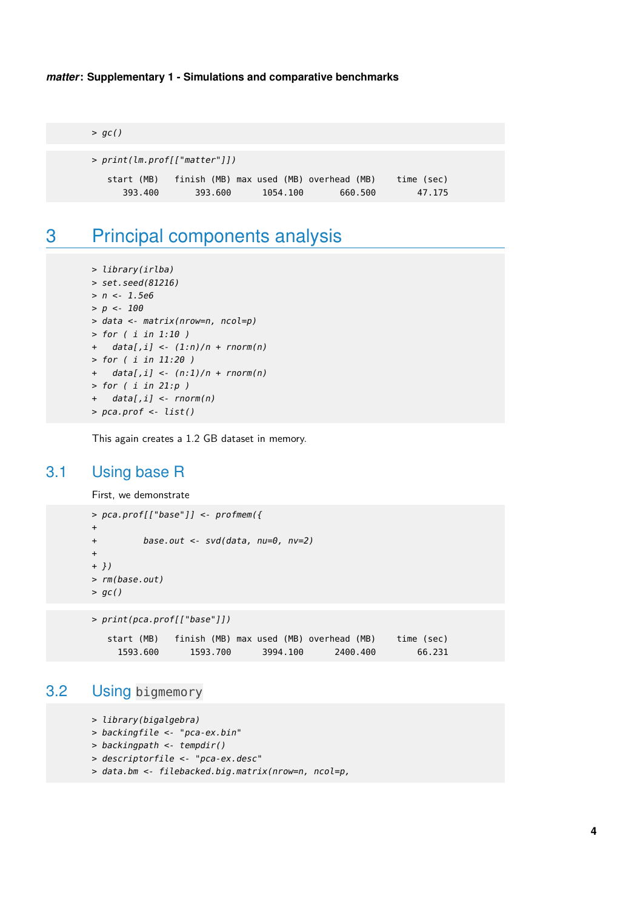$>$  gc()

| print(lm.prof[["matter"]]) > |            |                                         |          |         |            |  |  |
|------------------------------|------------|-----------------------------------------|----------|---------|------------|--|--|
|                              | start (MB) | finish (MB) max used (MB) overhead (MB) |          |         | time (sec) |  |  |
|                              | 393.400    | 393.600                                 | 1054.100 | 660.500 | 47.175     |  |  |

# <span id="page-3-0"></span>3 Principal components analysis

```
> library(irlba)
> set.seed(81216)
> n < -1.5e6> p < -100> data <- matrix(nrow=n, ncol=p)
> for ( i in 1:10 )
+ data[,i] <- (1:n)/n + rnorm(n)
> for ( i in 11:20 )
+ data[,i] <- (n:1)/n + rnorm(n)
> for (i in 21:p)+ data[,i] <- rnorm(n)
> pca.prof <- list()
```
<span id="page-3-1"></span>This again creates a 1.2 GB dataset in memory.

## 3.1 Using base R

First, we demonstrate

```
> pca.prof[["base"]] <- profmem({
+
+ base.out <- svd(data, nu=0, nv=2)
+
+ })
> rm(base.out)
> gc()
> print(pca.prof[["base"]])
```
<span id="page-3-2"></span>

| start (MB) | finish (MB) max used (MB) overhead (MB) |          |          | time (sec) |
|------------|-----------------------------------------|----------|----------|------------|
| 1593.600   | 1593.700                                | 3994.100 | 2400.400 | 66.231     |

### 3.2 Using bigmemory

```
> library(bigalgebra)
```
- > backingfile <- "pca-ex.bin"
- > backingpath <- tempdir()
- > descriptorfile <- "pca-ex.desc"
- > data.bm <- filebacked.big.matrix(nrow=n, ncol=p,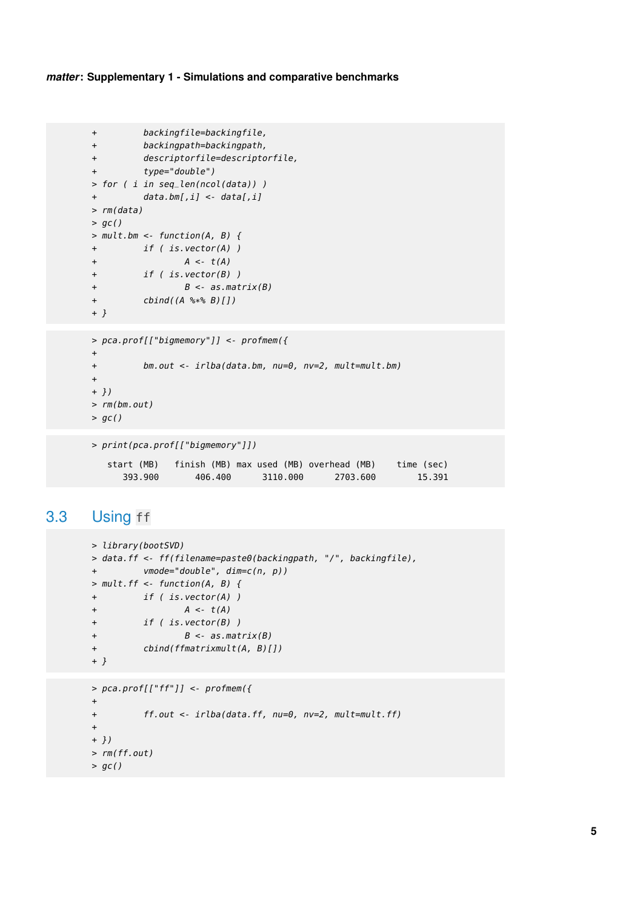```
+ backingfile=backingfile,
+ backingpath=backingpath,
+ descriptorfile=descriptorfile,
+ type="double")
> for ( i in seq_len(ncol(data)) )
+ data.bm[,i] <- data[,i]
> rm(data)
> gc()
> mult.bm <- function(A, B) {
+ if ( is.vector(A) )
+ A \leftarrow t(A)+ if ( is.vector(B) )
+ B \leq -a s.matrix(B)+ cbind((A %*% B)[])
+ }
> pca.prof[["bigmemory"]] <- profmem({
+
+ bm.out <- irlba(data.bm, nu=0, nv=2, mult=mult.bm)
+
+ })
> rm(bm.out)
> gc()
> print(pca.prof[["bigmemory"]])
  start (MB) finish (MB) max used (MB) overhead (MB) time (sec)
     393.900 406.400 3110.000 2703.600 15.391
```

```
3.3 Using ff
```

```
> library(bootSVD)
> data.ff <- ff(filename=paste0(backingpath, "/", backingfile),
+ vmode="double", dim=c(n, p))
> mult.ff <- function(A, B) {
+ if ( is.vector(A) )
+ A \leq t(A)+ if ( is.vector(B) )
+ B \leq -a s.matrix(B)+ cbind(ffmatrixmult(A, B)[])
+ }
> pca.prof[["ff"]] <- profmem({
+
+ ff.out <- irlba(data.ff, nu=0, nv=2, mult=mult.ff)
```

```
> rm(ff.out)
```

```
> gc()
```
+ + })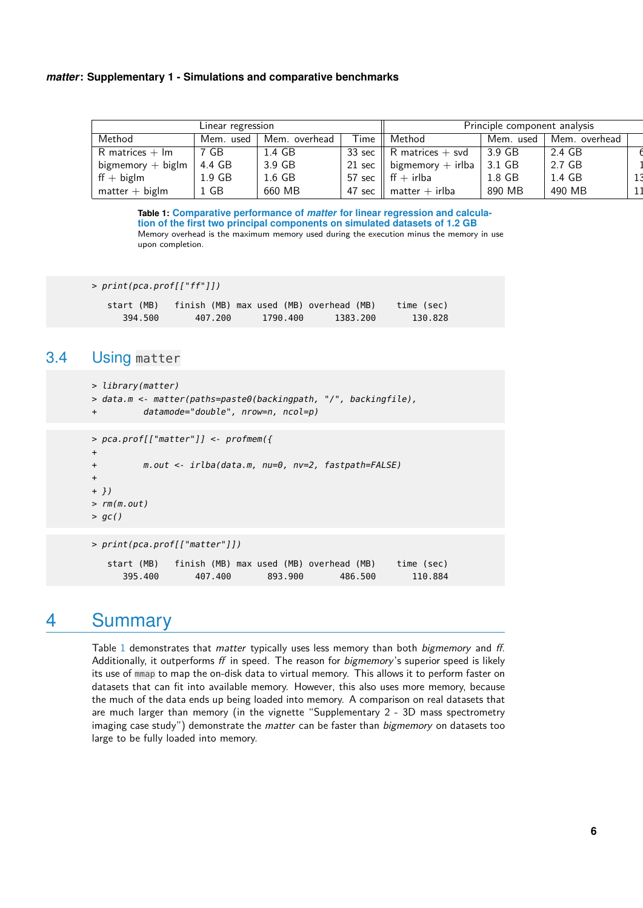<span id="page-5-3"></span>

| Linear regression              |           |               |        | Principle component analysis          |           |               |  |
|--------------------------------|-----------|---------------|--------|---------------------------------------|-----------|---------------|--|
| Method                         | Mem. used | Mem. overhead | Time   | Method                                | Mem. used | Mem. overhead |  |
| $R$ matrices $+$ $\textsf{Im}$ | 7 GB      | 1.4 GB        |        | 33 sec $\parallel$ R matrices $+$ svd | 3.9 GB    | 2.4 GB        |  |
| $bigmemory + biglm$            | 4.4 GB    | 3.9 GB        |        | 21 sec    bigmemory + irlba           | 3.1 GB    | 2.7 GB        |  |
| $\text{ff} + \text{biglm}$     | $1.9$ GB  | $1.6$ GB      |        | 57 sec $\parallel$ ff $+$ irlba       | 1.8 GB    | 1.4 GB        |  |
| $matter + biglm$               | 1 GB      | 660 MB        | 47 sec | $matter + irlba$                      | 890 MB    | 490 MB        |  |

**Table 1: Comparative performance of** *matter* **for linear regression and calculation of the first two principal components on simulated datasets of 1.2 GB** Memory overhead is the maximum memory used during the execution minus the memory in use upon completion.

> print(pca.prof[["ff"]])

<span id="page-5-0"></span>

| start (MB) | finish (MB) max used (MB) overhead (MB) |          |          | time (sec) |
|------------|-----------------------------------------|----------|----------|------------|
| 394.500    | 407.200                                 | 1790.400 | 1383.200 | 130.828    |

## 3.4 Using matter

```
> library(matter)
> data.m <- matter(paths=paste0(backingpath, "/", backingfile),
         datamode="double", nrow=n, ncol=p)
> pca.prof[["matter"]] <- profmem({
+
+ m.out <- irlba(data.m, nu=0, nv=2, fastpath=FALSE)
+
+ })
> rm(m.out)> gc()
> print(pca.prof[["matter"]])
   start (MB) finish (MB) max used (MB) overhead (MB) time (sec)
     395.400 407.400 893.900 486.500 110.884
```
## <span id="page-5-1"></span>4 Summary

<span id="page-5-2"></span>Table [1](#page-5-3) demonstrates that *matter* typically uses less memory than both *bigmemory* and ff. Additionally, it outperforms  $f f$  in speed. The reason for *bigmemory's* superior speed is likely its use of mmap to map the on-disk data to virtual memory. This allows it to perform faster on datasets that can fit into available memory. However, this also uses more memory, because the much of the data ends up being loaded into memory. A comparison on real datasets that are much larger than memory (in the vignette "Supplementary 2 - 3D mass spectrometry imaging case study") demonstrate the matter can be faster than bigmemory on datasets too large to be fully loaded into memory.